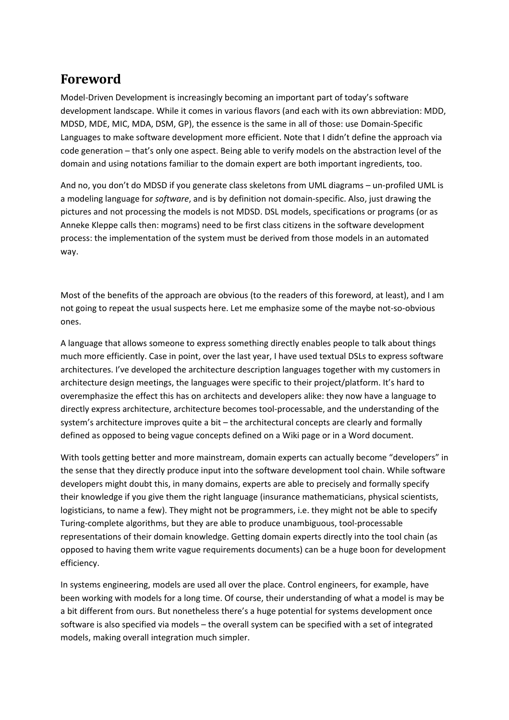## **Foreword**

Model‐Driven Development is increasingly becoming an important part of today's software development landscape. While it comes in various flavors (and each with its own abbreviation: MDD, MDSD, MDE, MIC, MDA, DSM, GP), the essence is the same in all of those: use Domain‐Specific Languages to make software development more efficient. Note that I didn't define the approach via code generation – that's only one aspect. Being able to verify models on the abstraction level of the domain and using notations familiar to the domain expert are both important ingredients, too.

And no, you don't do MDSD if you generate class skeletons from UML diagrams – un‐profiled UML is a modeling language for *software*, and is by definition not domain‐specific. Also, just drawing the pictures and not processing the models is not MDSD. DSL models, specifications or programs (or as Anneke Kleppe calls then: mograms) need to be first class citizens in the software development process: the implementation of the system must be derived from those models in an automated way.

Most of the benefits of the approach are obvious (to the readers of this foreword, at least), and I am not going to repeat the usual suspects here. Let me emphasize some of the maybe not-so-obvious ones.

A language that allows someone to express something directly enables people to talk about things much more efficiently. Case in point, over the last year, I have used textual DSLs to express software architectures. I've developed the architecture description languages together with my customers in architecture design meetings, the languages were specific to their project/platform. It's hard to overemphasize the effect this has on architects and developers alike: they now have a language to directly express architecture, architecture becomes tool‐processable, and the understanding of the system's architecture improves quite a bit – the architectural concepts are clearly and formally defined as opposed to being vague concepts defined on a Wiki page or in a Word document.

With tools getting better and more mainstream, domain experts can actually become "developers" in the sense that they directly produce input into the software development tool chain. While software developers might doubt this, in many domains, experts are able to precisely and formally specify their knowledge if you give them the right language (insurance mathematicians, physical scientists, logisticians, to name a few). They might not be programmers, i.e. they might not be able to specify Turing‐complete algorithms, but they are able to produce unambiguous, tool‐processable representations of their domain knowledge. Getting domain experts directly into the tool chain (as opposed to having them write vague requirements documents) can be a huge boon for development efficiency.

In systems engineering, models are used all over the place. Control engineers, for example, have been working with models for a long time. Of course, their understanding of what a model is may be a bit different from ours. But nonetheless there's a huge potential for systems development once software is also specified via models – the overall system can be specified with a set of integrated models, making overall integration much simpler.